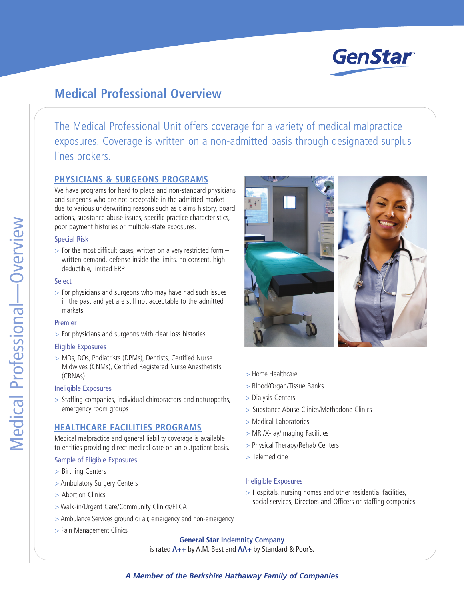

# **Medical Professional Overview**

The Medical Professional Unit offers coverage for a variety of medical malpractice exposures. Coverage is written on a non-admitted basis through designated surplus lines brokers.

## **PHYSICIANS & SURGEONS PROGRAMS**

We have programs for hard to place and non-standard physicians and surgeons who are not acceptable in the admitted market due to various underwriting reasons such as claims history, board actions, substance abuse issues, specific practice characteristics, poor payment histories or multiple-state exposures.

#### Special Risk

 $>$  For the most difficult cases, written on a very restricted form  $$ written demand, defense inside the limits, no consent, high deductible, limited ERP

#### **Select**

> For physicians and surgeons who may have had such issues in the past and yet are still not acceptable to the admitted markets

#### Premier

> For physicians and surgeons with clear loss histories

#### Eligible Exposures

> MDs, DOs, Podiatrists (DPMs), Dentists, Certified Nurse Midwives (CNMs), Certified Registered Nurse Anesthetists (CRNAs)

#### Ineligible Exposures

> Staffing companies, individual chiropractors and naturopaths, emergency room groups

## **HEALTHCARE FACILITIES PROGRAMS**

Medical malpractice and general liability coverage is available to entities providing direct medical care on an outpatient basis.

### Sample of Eligible Exposures

- > Birthing Centers
- > Ambulatory Surgery Centers
- > Abortion Clinics
- > Walk-in/Urgent Care/Community Clinics/FTCA
- > Ambulance Services ground or air, emergency and non-emergency
- > Pain Management Clinics



- > Home Healthcare
- > Blood/Organ/Tissue Banks
- > Dialysis Centers
- > Substance Abuse Clinics/Methadone Clinics
- > Medical Laboratories
- > MRI/X-ray/Imaging Facilities
- > Physical Therapy/Rehab Centers
- > Telemedicine

#### Ineligible Exposures

> Hospitals, nursing homes and other residential facilities, social services, Directors and Officers or staffing companies

## **General Star Indemnity Company** is rated **A++** by A.M. Best and **AA+** by Standard & Poor's.

## *A Member of the Berkshire Hathaway Family of Companies*